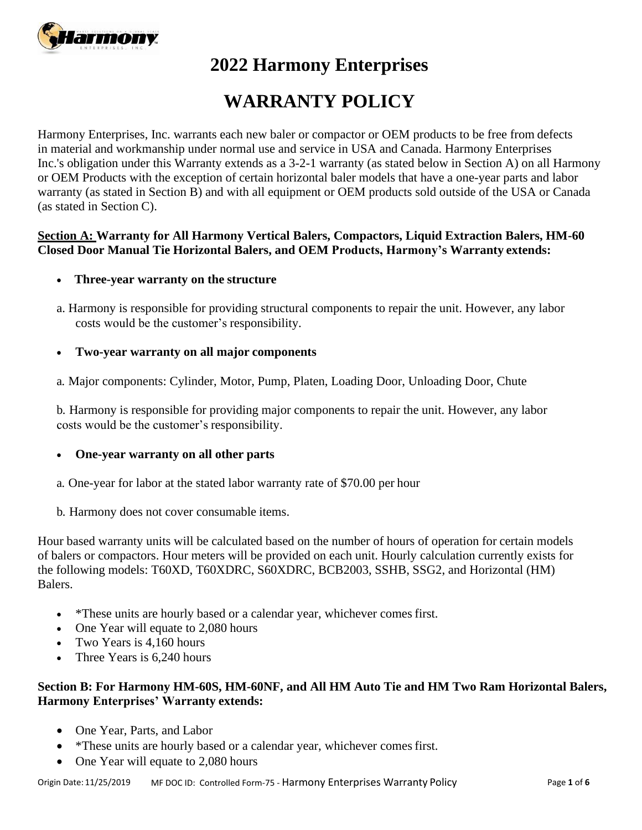

**2022 Harmony Enterprises** 

# **WARRANTY POLICY**

Harmony Enterprises, Inc. warrants each new baler or compactor or OEM products to be free from defects in material and workmanship under normal use and service in USA and Canada. Harmony Enterprises Inc.'s obligation under this Warranty extends as a 3-2-1 warranty (as stated below in Section A) on all Harmony or OEM Products with the exception of certain horizontal baler models that have a one-year parts and labor warranty (as stated in Section B) and with all equipment or OEM products sold outside of the USA or Canada (as stated in Section C).

# **Section A: Warranty for All Harmony Vertical Balers, Compactors, Liquid Extraction Balers, HM-60 Closed Door Manual Tie Horizontal Balers, and OEM Products, Harmony's Warranty extends:**

### • **Three-year warranty on the structure**

a. Harmony is responsible for providing structural components to repair the unit. However, any labor costs would be the customer's responsibility.

### • **Two-year warranty on all major components**

a. Major components: Cylinder, Motor, Pump, Platen, Loading Door, Unloading Door, Chute

b. Harmony is responsible for providing major components to repair the unit. However, any labor costs would be the customer's responsibility.

#### • **One-year warranty on all other parts**

- a. One-year for labor at the stated labor warranty rate of \$70.00 per hour
- b. Harmony does not cover consumable items.

Hour based warranty units will be calculated based on the number of hours of operation for certain models of balers or compactors. Hour meters will be provided on each unit. Hourly calculation currently exists for the following models: T60XD, T60XDRC, S60XDRC, BCB2003, SSHB, SSG2, and Horizontal (HM) Balers.

- \*These units are hourly based or a calendar year, whichever comes first.
- One Year will equate to 2,080 hours
- Two Years is 4,160 hours
- Three Years is 6,240 hours

# **Section B: For Harmony HM-60S, HM-60NF, and All HM Auto Tie and HM Two Ram Horizontal Balers, Harmony Enterprises' Warranty extends:**

- One Year, Parts, and Labor
- \*These units are hourly based or a calendar year, whichever comes first.
- One Year will equate to 2,080 hours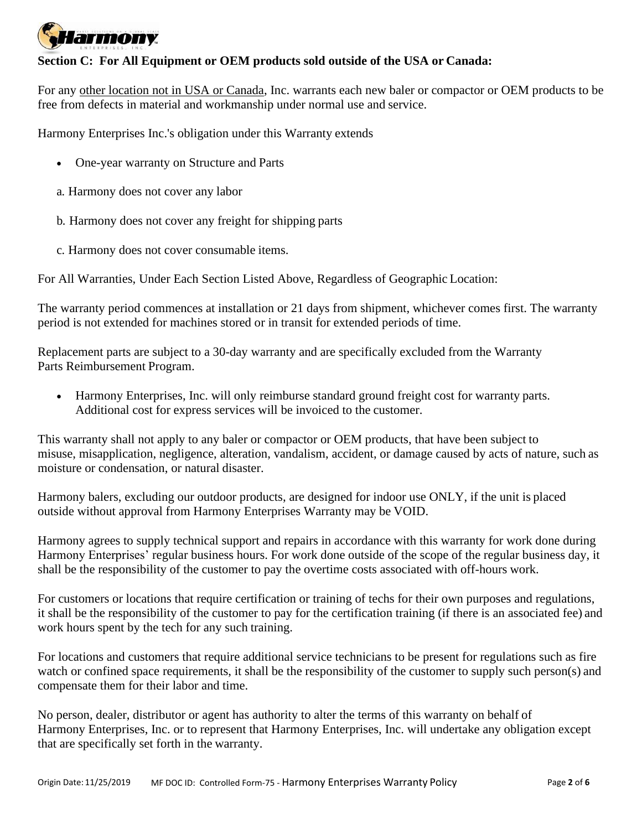

## **Section C: For All Equipment or OEM products sold outside of the USA or Canada:**

For any other location not in USA or Canada, Inc. warrants each new baler or compactor or OEM products to be free from defects in material and workmanship under normal use and service.

Harmony Enterprises Inc.'s obligation under this Warranty extends

- One-year warranty on Structure and Parts
- a. Harmony does not cover any labor
- b. Harmony does not cover any freight for shipping parts
- c. Harmony does not cover consumable items.

For All Warranties, Under Each Section Listed Above, Regardless of Geographic Location:

The warranty period commences at installation or 21 days from shipment, whichever comes first. The warranty period is not extended for machines stored or in transit for extended periods of time.

Replacement parts are subject to a 30-day warranty and are specifically excluded from the Warranty Parts Reimbursement Program.

• Harmony Enterprises, Inc. will only reimburse standard ground freight cost for warranty parts. Additional cost for express services will be invoiced to the customer.

This warranty shall not apply to any baler or compactor or OEM products, that have been subject to misuse, misapplication, negligence, alteration, vandalism, accident, or damage caused by acts of nature, such as moisture or condensation, or natural disaster.

Harmony balers, excluding our outdoor products, are designed for indoor use ONLY, if the unit is placed outside without approval from Harmony Enterprises Warranty may be VOID.

Harmony agrees to supply technical support and repairs in accordance with this warranty for work done during Harmony Enterprises' regular business hours. For work done outside of the scope of the regular business day, it shall be the responsibility of the customer to pay the overtime costs associated with off-hours work.

For customers or locations that require certification or training of techs for their own purposes and regulations, it shall be the responsibility of the customer to pay for the certification training (if there is an associated fee) and work hours spent by the tech for any such training.

For locations and customers that require additional service technicians to be present for regulations such as fire watch or confined space requirements, it shall be the responsibility of the customer to supply such person(s) and compensate them for their labor and time.

No person, dealer, distributor or agent has authority to alter the terms of this warranty on behalf of Harmony Enterprises, Inc. or to represent that Harmony Enterprises, Inc. will undertake any obligation except that are specifically set forth in the warranty.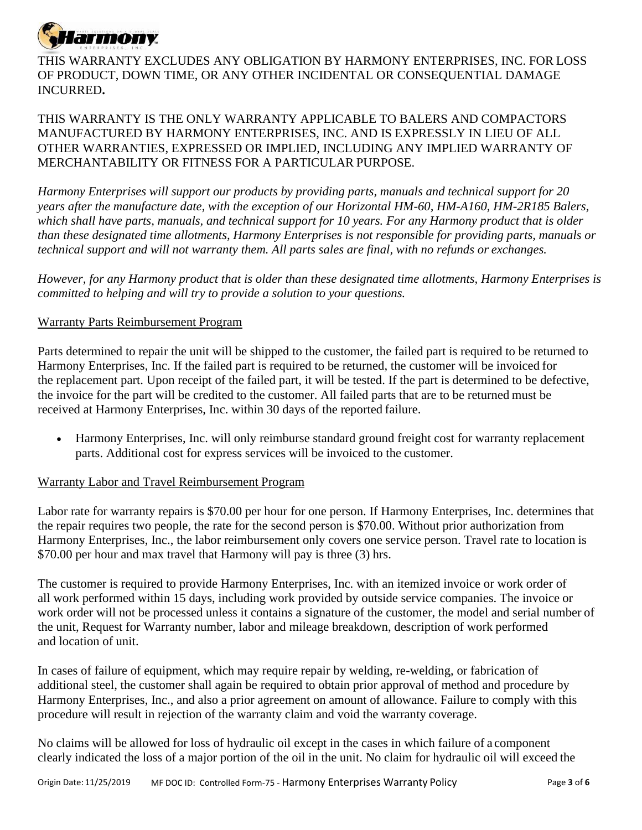

THIS WARRANTY EXCLUDES ANY OBLIGATION BY HARMONY ENTERPRISES, INC. FOR LOSS OF PRODUCT, DOWN TIME, OR ANY OTHER INCIDENTAL OR CONSEQUENTIAL DAMAGE INCURRED**.**

THIS WARRANTY IS THE ONLY WARRANTY APPLICABLE TO BALERS AND COMPACTORS MANUFACTURED BY HARMONY ENTERPRISES, INC. AND IS EXPRESSLY IN LIEU OF ALL OTHER WARRANTIES, EXPRESSED OR IMPLIED, INCLUDING ANY IMPLIED WARRANTY OF MERCHANTABILITY OR FITNESS FOR A PARTICULAR PURPOSE.

*Harmony Enterprises will support our products by providing parts, manuals and technical support for 20 years after the manufacture date, with the exception of our Horizontal HM-60, HM-A160, HM-2R185 Balers, which shall have parts, manuals, and technical support for 10 years. For any Harmony product that is older than these designated time allotments, Harmony Enterprises is not responsible for providing parts, manuals or technical support and will not warranty them. All parts sales are final, with no refunds or exchanges.*

*However, for any Harmony product that is older than these designated time allotments, Harmony Enterprises is committed to helping and will try to provide a solution to your questions.*

#### Warranty Parts Reimbursement Program

Parts determined to repair the unit will be shipped to the customer, the failed part is required to be returned to Harmony Enterprises, Inc. If the failed part is required to be returned, the customer will be invoiced for the replacement part. Upon receipt of the failed part, it will be tested. If the part is determined to be defective, the invoice for the part will be credited to the customer. All failed parts that are to be returned must be received at Harmony Enterprises, Inc. within 30 days of the reported failure.

• Harmony Enterprises, Inc. will only reimburse standard ground freight cost for warranty replacement parts. Additional cost for express services will be invoiced to the customer.

# Warranty Labor and Travel Reimbursement Program

Labor rate for warranty repairs is \$70.00 per hour for one person. If Harmony Enterprises, Inc. determines that the repair requires two people, the rate for the second person is \$70.00. Without prior authorization from Harmony Enterprises, Inc., the labor reimbursement only covers one service person. Travel rate to location is \$70.00 per hour and max travel that Harmony will pay is three (3) hrs.

The customer is required to provide Harmony Enterprises, Inc. with an itemized invoice or work order of all work performed within 15 days, including work provided by outside service companies. The invoice or work order will not be processed unless it contains a signature of the customer, the model and serial number of the unit, Request for Warranty number, labor and mileage breakdown, description of work performed and location of unit.

In cases of failure of equipment, which may require repair by welding, re-welding, or fabrication of additional steel, the customer shall again be required to obtain prior approval of method and procedure by Harmony Enterprises, Inc., and also a prior agreement on amount of allowance. Failure to comply with this procedure will result in rejection of the warranty claim and void the warranty coverage.

No claims will be allowed for loss of hydraulic oil except in the cases in which failure of a component clearly indicated the loss of a major portion of the oil in the unit. No claim for hydraulic oil will exceed the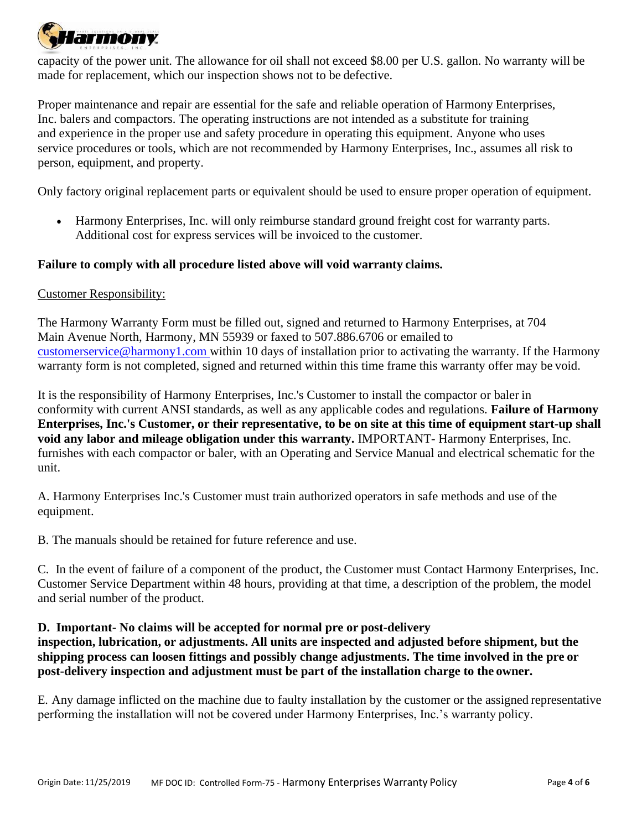

capacity of the power unit. The allowance for oil shall not exceed \$8.00 per U.S. gallon. No warranty will be made for replacement, which our inspection shows not to be defective.

Proper maintenance and repair are essential for the safe and reliable operation of Harmony Enterprises, Inc. balers and compactors. The operating instructions are not intended as a substitute for training and experience in the proper use and safety procedure in operating this equipment. Anyone who uses service procedures or tools, which are not recommended by Harmony Enterprises, Inc., assumes all risk to person, equipment, and property.

Only factory original replacement parts or equivalent should be used to ensure proper operation of equipment.

• Harmony Enterprises, Inc. will only reimburse standard ground freight cost for warranty parts. Additional cost for express services will be invoiced to the customer.

# **Failure to comply with all procedure listed above will void warranty claims.**

#### Customer Responsibility:

The Harmony Warranty Form must be filled out, signed and returned to Harmony Enterprises, at 704 Main Avenue North, Harmony, MN 55939 or faxed to 507.886.6706 or emailed to [customerservice@harmony1.com](mailto:customerservice@harmony1.com) within 10 days of installation prior to activating the warranty. If the Harmony warranty form is not completed, signed and returned within this time frame this warranty offer may be void.

It is the responsibility of Harmony Enterprises, Inc.'s Customer to install the compactor or baler in conformity with current ANSI standards, as well as any applicable codes and regulations. **Failure of Harmony Enterprises, Inc.'s Customer, or their representative, to be on site at this time of equipment start-up shall void any labor and mileage obligation under this warranty.** IMPORTANT- Harmony Enterprises, Inc. furnishes with each compactor or baler, with an Operating and Service Manual and electrical schematic for the unit.

A. Harmony Enterprises Inc.'s Customer must train authorized operators in safe methods and use of the equipment.

B. The manuals should be retained for future reference and use.

C. In the event of failure of a component of the product, the Customer must Contact Harmony Enterprises, Inc. Customer Service Department within 48 hours, providing at that time, a description of the problem, the model and serial number of the product.

## **D. Important- No claims will be accepted for normal pre or post-delivery inspection, lubrication, or adjustments. All units are inspected and adjusted before shipment, but the shipping process can loosen fittings and possibly change adjustments. The time involved in the pre or post-delivery inspection and adjustment must be part of the installation charge to the owner.**

E. Any damage inflicted on the machine due to faulty installation by the customer or the assigned representative performing the installation will not be covered under Harmony Enterprises, Inc.'s warranty policy.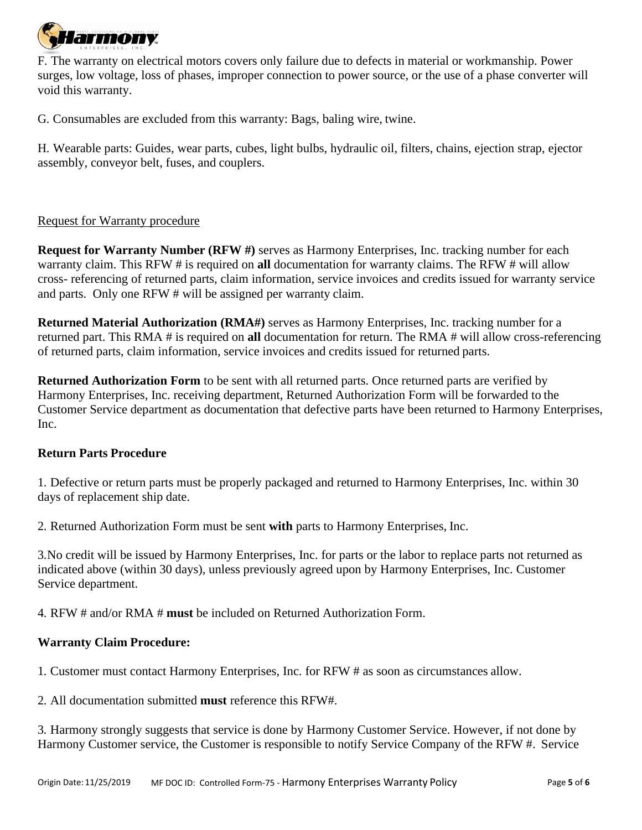

F. The warranty on electrical motors covers only failure due to defects in material or workmanship. Power surges, low voltage, loss of phases, improper connection to power source, or the use of a phase converter will void this warranty.

G. Consumables are excluded from this warranty: Bags, baling wire, twine.

H. Wearable parts: Guides, wear parts, cubes, light bulbs, hydraulic oil, filters, chains, ejection strap, ejector assembly, conveyor belt, fuses, and couplers.

#### Request for Warranty procedure

**Request for Warranty Number (RFW #)** serves as Harmony Enterprises, Inc. tracking number for each warranty claim. This RFW # is required on **all** documentation for warranty claims. The RFW # will allow cross- referencing of returned parts, claim information, service invoices and credits issued for warranty service and parts. Only one RFW # will be assigned per warranty claim.

**Returned Material Authorization (RMA#)** serves as Harmony Enterprises, Inc. tracking number for a returned part. This RMA # is required on **all** documentation for return. The RMA # will allow cross-referencing of returned parts, claim information, service invoices and credits issued for returned parts.

**Returned Authorization Form** to be sent with all returned parts. Once returned parts are verified by Harmony Enterprises, Inc. receiving department, Returned Authorization Form will be forwarded to the Customer Service department as documentation that defective parts have been returned to Harmony Enterprises, Inc.

# **Return Parts Procedure**

1. Defective or return parts must be properly packaged and returned to Harmony Enterprises, Inc. within 30 days of replacement ship date.

2. Returned Authorization Form must be sent **with** parts to Harmony Enterprises, Inc.

3.No credit will be issued by Harmony Enterprises, Inc. for parts or the labor to replace parts not returned as indicated above (within 30 days), unless previously agreed upon by Harmony Enterprises, Inc. Customer Service department.

4. RFW # and/or RMA # **must** be included on Returned Authorization Form.

#### **Warranty Claim Procedure:**

1. Customer must contact Harmony Enterprises, Inc. for RFW # as soon as circumstances allow.

2. All documentation submitted **must** reference this RFW#.

3. Harmony strongly suggests that service is done by Harmony Customer Service. However, if not done by Harmony Customer service, the Customer is responsible to notify Service Company of the RFW #. Service